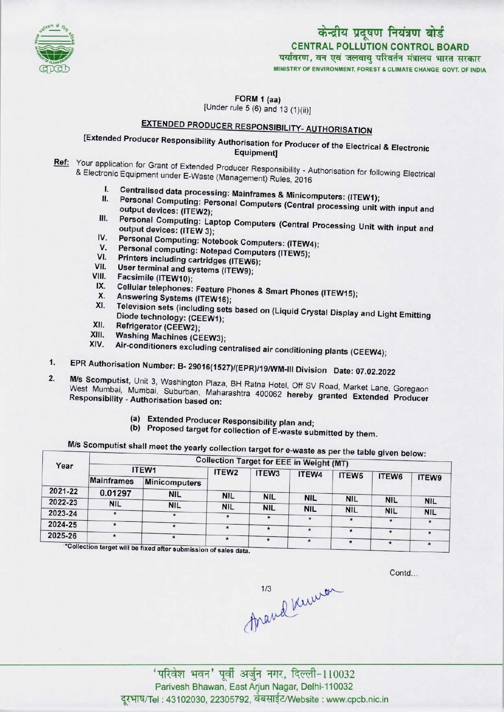

## केन्द्रीय प्रदूषण नियंत्रण बोर्ड CENTRAL POLLUTION CONTROL BOARD पर्यावरण, वन एवं जलवायु परिवर्तन मंत्रालय भारत सरकार

MINISTRY OF ENVIRONMENT, FOREST & CLIMATE CHANGE GOVT. OF INDIA

FORM 1 (aa) [Under rule 5 (6) and 13 (1)(ii)]

# EXTENDED PRODUCER RESPONSIBILITY- AUTHORISATION

## [Extended Producer Responsibility Authorisation for Producer of the Electrical & Electronic Equipment]

- Ref: Your application for Grant of Extended Producer Responsibility Authorisation for Grants & Electronic Equipment under E-Waste (Management) Rubblitty - A onic Equipment under E-Waste (Management) Rules, 2016<br>I. Centralised data processing: Mainframes & Minicomputers: (ITEW1);<br>I. Personal Corre
	- I. Centralised data processing: Mainframes & Minicomputers: (ITEW1);<br>II. Personal Computing: Personal Computers (Central processing unit with input and
	- Personal Computing: Personal Computers (Central processing unit with input and output devices: (ITEW2); II. Personal Computing: Personal Computers (Central processing unit with input and<br>output devices: (ITEW2);<br>III. Personal Computing: Laptop Computers (Central Processing Unit with input and
	- output devices: (ITEW 3); III. Personal Computing: Laptop Computers (Central P<br>
	output devices: (ITEW 3);<br>
	IV. Personal Computing: Notebook Computers: (ITEW4); output devices: (ITEW 3);<br>V. Personal Computing: Notebook Computers: (ITEW<br>V. Personal computing: Notepad Computers (ITEW5);
	-
	- IV. Personal Computing: Notebook Computers: (ITEW-<br>V. Personal computing: Notepad Computers (ITEW5);<br>VI. Printers including cartridges (ITEW6);<br>VII. User terminal and outting (ITEW6); V. Personal computing: Notepad Com<br>VI. Printers including cartridges (ITEW)<br>VII. User terminal and systems (ITEW9);
	-
	-
	- VI. Printers including c<br>VII. User terminal and s<br>VIII. Facsimile (ITEW10);
	- vii. User terminal and systems (ITEW9);<br><sup>'III.</sup> Facsimile (ITEW10);<br><sup>IX.</sup> Cellular telephones: Feature Phones & Smart Phones (ITEW15); m. Pacsimile (ITEW10);<br>X. Cellular telephones: Feature P<br>X. Answering Systems (ITEW16);
	-
	- IX. Cellular telephones: Feature Phones & Smart Phones (ITEW15);<br>X. Answering Systems (ITEW16);<br>XI. Television sets (including sets based on (Liquid Crystal Display and Light Emitting Diode technology: (CEEW1);<br>Refrigerator (CEEW2); XI. Felevision sets (include<br>Diode technology: (CE<br>XII. Refrigerator (CEEW2);<br>XIII. Washing Moshim
	-
	- XII. Refrigerator (CEEW2);<br>XIII. Washing Machines (CEEW3);<br>XIV. Air-conditioners excluding :
	- Air-conditioners excluding centralised air conditioning plants (CEEW4);
- 1.EPR Authorisation Number: B- 29016{1527)/(EPR)/19/WM-lll Division Date: 07.02.2022
- 2. EPR Authorisation Number: B- 29016(1527)/(EPR)/19/WM-III Division Date: 07.02.2022<br>2. M/s Scomputist, Unit 3. Washington Plaza, BH Ratna Hotel, Off SV Road, Market Lane, Goregaon West Mumbai, Mumbai, Suburban, Maharashtra 400062 hereby Road, Market Lane, Goregaor Responsibility - Authorisation based on: Responsibility - Authorisation based on:<br>(a) Extended Producer Responsibility plan and;
	-
	- (b) Proposed target for collection of E-waste submitted by them.

#### waste as per the table given below: M/s Scomputist shall meet the yearly collection target for e

| Year    | 5.001<br><b>Collection Target for EEE in Weight (MT)</b> |                      |                   |                   |            |            |            |            |  |  |  |
|---------|----------------------------------------------------------|----------------------|-------------------|-------------------|------------|------------|------------|------------|--|--|--|
|         | ITEW1                                                    |                      | ITEW <sub>2</sub> | ITEW <sub>3</sub> | ITEW4      | ITEW5      |            |            |  |  |  |
|         | <b>Mainframes</b>                                        | <b>Minicomputers</b> |                   |                   |            |            | ITEW6      | ITEW9      |  |  |  |
| 2021-22 | 0.01297                                                  | <b>NIL</b>           | <b>NIL</b>        | <b>NIL</b>        |            |            |            |            |  |  |  |
| 2022-23 | <b>NIL</b>                                               | <b>NIL</b>           | <b>NIL</b>        |                   | <b>NIL</b> | <b>NIL</b> | <b>NIL</b> | <b>NIL</b> |  |  |  |
| 2023-24 |                                                          |                      |                   | <b>NIL</b>        | <b>NIL</b> | <b>NIL</b> | <b>NIL</b> | <b>NIL</b> |  |  |  |
| 2024-25 |                                                          |                      |                   |                   |            |            | $\star$    |            |  |  |  |
| 2025-26 |                                                          |                      | $^{\star}$        |                   |            | $\star$    | $\cdot$    |            |  |  |  |
|         | $*$ Colloction to $\cdots$ $\cdots$                      |                      | $\star$           |                   | $\star$    |            |            |            |  |  |  |

\*Collection target will be fixed after submission of sales data

Contd...

mand knew

'परिवेश भवन' पूर्वी अर्जुन नगर, दिल्ली-110032 Parivesh Bhawan, East Arjun Nagar, Delhi-110032 दुरभाष/Tel : 43102030, 22305792, वेबसाईट/Website : www.cpcb.nic.in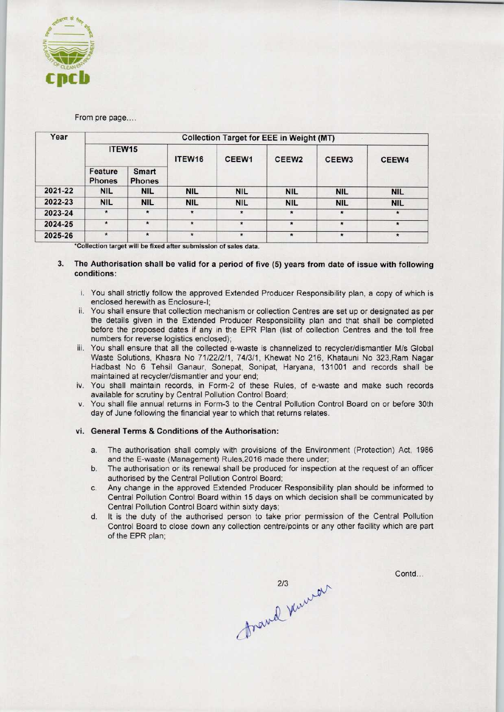

#### From pre page....

| Year    | <b>Collection Target for EEE in Weight (MT)</b> |                               |            |                   |                   |                   |            |  |  |  |  |
|---------|-------------------------------------------------|-------------------------------|------------|-------------------|-------------------|-------------------|------------|--|--|--|--|
|         | ITEW15                                          |                               | ITEW16     | CEEW <sub>1</sub> | CEEW <sub>2</sub> | CEEW <sub>3</sub> | CEEW4      |  |  |  |  |
|         | Feature<br><b>Phones</b>                        | <b>Smart</b><br><b>Phones</b> |            |                   |                   |                   |            |  |  |  |  |
| 2021-22 | <b>NIL</b>                                      | <b>NIL</b>                    | <b>NIL</b> | <b>NIL</b>        | <b>NIL</b>        | <b>NIL</b>        | <b>NIL</b> |  |  |  |  |
| 2022-23 | <b>NIL</b>                                      | <b>NIL</b>                    | <b>NIL</b> | <b>NIL</b>        | <b>NIL</b>        | <b>NIL</b>        | <b>NIL</b> |  |  |  |  |
| 2023-24 | $\star$                                         | $\star$                       | $\star$    | $\star$           | $\star$           | $\star$           | $\star$    |  |  |  |  |
| 2024-25 | $\star$                                         | $\star$                       | $\star$    | $\star$           | $\star$           | $\star$           | $\star$    |  |  |  |  |
| 2025-26 | $\star$                                         | $\star$                       | $\star$    | $\star$           | $\star$           | $\star$           | $\star$    |  |  |  |  |

\*Collection target will be fixed after submission of sales data.

#### 3. The Authorisation shall be valid for a period of five (5) years from date of issue with following conditions:

- i. You shall strictly follow the approved Extended Producer Responsibility plan, a copy of which is enclosed herewith as Enclosure-I;
- ii. You shall ensure that collection mechanism or collection Centres are set up or designated as per the details given in the Extended Producer Responsibility plan and that shall be completed before the proposed dates if any in the EPR Plan (list of collection Centres and the toll free numbers for reverse logistics enclosed);
- iii. You shall ensure that all the collected e-waste is channelized to recycler/dismantler M/s Global Waste Solutions, Khasra No 71/22/2/1, 74/3/1, Khewat No 216, Khatauni No 323,Ram Nagar Hadbast No 6 Tehsil Ganaur, Sonepat, Sonipat, Haryana, 131001 and records shall be maintained at recycler/dismantler and your end;
- iv. You shall maintain records, in Form-2 of these Rules, of e-waste and make such records available for scrutiny by Central Pollution Control Board;
- You shall file annual returns in Form-3 to the Central Pollution Control Board on or before 30th day of June following the financial year to which that returns relates.

#### vi. General Terms & Conditions of the Authorisation:

- a.The authorisation shall comply with provisions of the Environment (Protection) Act, <sup>1986</sup> and the E-waste (Management) Rules,2016 made there under;
- b.The authorisation or its renewal shall be produced for inspection at the request of an officer authorised by the Central Pollution Control Board;
- c.Any change in the approved Extended Producer Responsibility plan should be informed to Central Pollution Control Board within 15 days on which decision shall be communicated by Central Pollution Control Board within sixty days;
- d. It is the duty of the authorised person to take prior permission of the Central Pollution Control Board to close down any collection centre/points or any other facility which are part of the EPR plan;

gravel kunear

Contd...